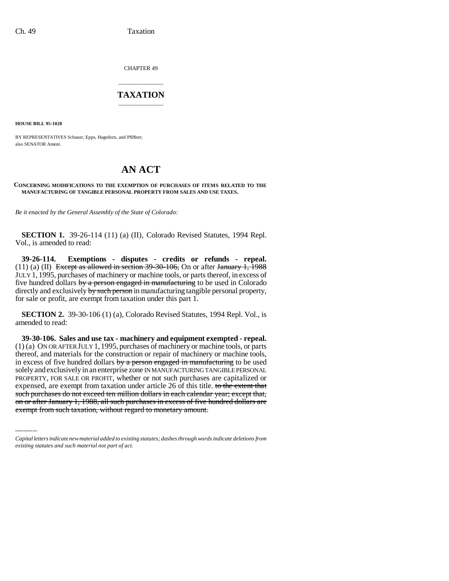CHAPTER 49

## \_\_\_\_\_\_\_\_\_\_\_\_\_\_\_ **TAXATION** \_\_\_\_\_\_\_\_\_\_\_\_\_\_\_

**HOUSE BILL 95-1028**

BY REPRESENTATIVES Schauer, Epps, Hagedorn, and Pfiffner; also SENATOR Ament.

## **AN ACT**

## **CONCERNING MODIFICATIONS TO THE EXEMPTION OF PURCHASES OF ITEMS RELATED TO THE MANUFACTURING OF TANGIBLE PERSONAL PROPERTY FROM SALES AND USE TAXES.**

*Be it enacted by the General Assembly of the State of Colorado:*

**SECTION 1.** 39-26-114 (11) (a) (II), Colorado Revised Statutes, 1994 Repl. Vol., is amended to read:

**39-26-114. Exemptions - disputes - credits or refunds - repeal.** (11) (a) (II) Except as allowed in section  $39-30-106$ , On or after January 1, 1988 JULY 1, 1995, purchases of machinery or machine tools, or parts thereof, in excess of five hundred dollars by a person engaged in manufacturing to be used in Colorado directly and exclusively by such person in manufacturing tangible personal property, for sale or profit, are exempt from taxation under this part 1.

**SECTION 2.** 39-30-106 (1) (a), Colorado Revised Statutes, 1994 Repl. Vol., is amended to read:

PROPERTY, FOR SALE OR PROFIT, whether or not such purchases are capitalized or **39-30-106. Sales and use tax - machinery and equipment exempted - repeal.** (1) (a) ON OR AFTER JULY 1,1995, purchases of machinery or machine tools, or parts thereof, and materials for the construction or repair of machinery or machine tools, in excess of five hundred dollars by a person engaged in manufacturing to be used solely and exclusively in an enterprise zone IN MANUFACTURING TANGIBLE PERSONAL expensed, are exempt from taxation under article 26 of this title. to the extent that such purchases do not exceed ten million dollars in each calendar year; except that, on or after January 1, 1988, all such purchases in excess of five hundred dollars are exempt from such taxation, without regard to monetary amount.

*Capital letters indicate new material added to existing statutes; dashes through words indicate deletions from existing statutes and such material not part of act.*